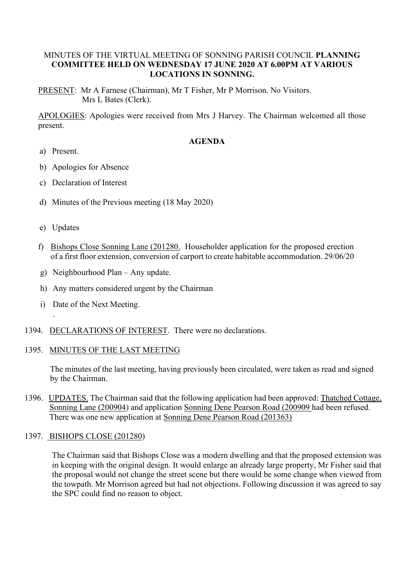## MINUTES OF THE VIRTUAL MEETING OF SONNING PARISH COUNCIL **PLANNING COMMITTEE HELD ON WEDNESDAY 17 JUNE 2020 AT 6.00PM AT VARIOUS LOCATIONS IN SONNING.**

PRESENT: Mr A Farnese (Chairman), Mr T Fisher, Mr P Morrison. No Visitors. Mrs L Bates (Clerk).

APOLOGIES: Apologies were received from Mrs J Harvey. The Chairman welcomed all those present.

## **AGENDA**

- a) Present.
- b) Apologies for Absence
- c) Declaration of Interest
- d) Minutes of the Previous meeting (18 May 2020)
- e) Updates

.

- f) Bishops Close Sonning Lane (201280. Householder application for the proposed erection of a first floor extension, conversion of carport to create habitable accommodation. 29/06/20
- g) Neighbourhood Plan Any update.
- h) Any matters considered urgent by the Chairman
- i) Date of the Next Meeting.
- 1394. DECLARATIONS OF INTEREST. There were no declarations.

#### 1395. MINUTES OF THE LAST MEETING

The minutes of the last meeting, having previously been circulated, were taken as read and signed by the Chairman.

1396. UPDATES. The Chairman said that the following application had been approved: Thatched Cottage, Sonning Lane (200904) and application Sonning Dene Pearson Road (200909 had been refused. There was one new application at Sonning Dene Pearson Road (201363)

#### 1397. BISHOPS CLOSE (201280)

The Chairman said that Bishops Close was a modern dwelling and that the proposed extension was in keeping with the original design. It would enlarge an already large property, Mr Fisher said that the proposal would not change the street scene but there would be some change when viewed from the towpath. Mr Morrison agreed but had not objections. Following discussion it was agreed to say the SPC could find no reason to object.